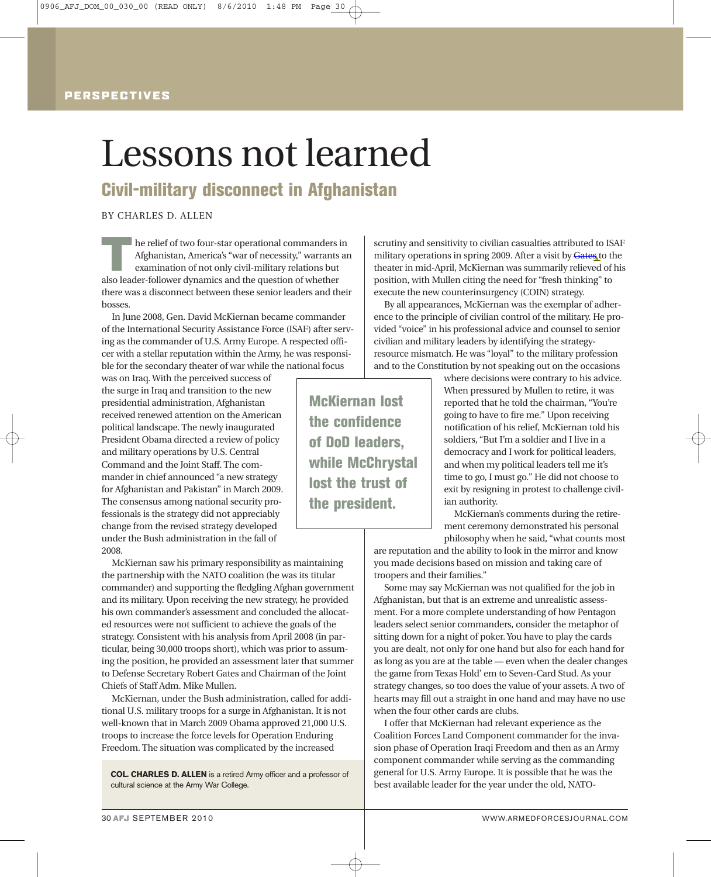## PERSPECTIVES

# Lessons not learned

Civil-military disconnect in Afghanistan

BY CHARLES D. ALLEN

 $\prod$ he relief of two four-star operational commanders in Afghanistan, America's "war of necessity," warrants an examination of not only civil-military relations but also leader-follower dynamics and the question of whether there was a disconnect between these senior leaders and their bosses.

In June 2008, Gen. David McKiernan became commander of the International Security Assistance Force (ISAF) after serving as the commander of U.S. Army Europe. A respected officer with a stellar reputation within the Army, he was responsible for the secondary theater of war while the national focus

was on Iraq.With the perceived success of the surge in Iraq and transition to the new presidential administration, Afghanistan received renewed attention on the American political landscape. The newly inaugurated President Obama directed a review of policy and military operations by U.S. Central Command and the Joint Staff. The commander in chief announced "a new strategy for Afghanistan and Pakistan" in March 2009. The consensus among national security professionals is the strategy did not appreciably change from the revised strategy developed under the Bush administration in the fall of 2008.

McKiernan saw his primary responsibility as maintaining the partnership with the NATO coalition (he was its titular commander) and supporting the fledgling Afghan government and its military. Upon receiving the new strategy, he provided his own commander's assessment and concluded the allocated resources were not sufficient to achieve the goals of the strategy. Consistent with his analysis from April 2008 (in particular, being 30,000 troops short), which was prior to assuming the position, he provided an assessment later that summer to Defense Secretary Robert Gates and Chairman of the Joint Chiefs of Staff Adm. Mike Mullen.

McKiernan, under the Bush administration, called for additional U.S. military troops for a surge in Afghanistan. It is not well-known that in March 2009 Obama approved 21,000 U.S. troops to increase the force levels for Operation Enduring Freedom. The situation was complicated by the increased

**COL. CHARLES D. ALLEN** is a retired Army officer and a professor of cultural science at the Army War College.

military operations in spring 2009. After a visit by Gates to the theater in mid-April, McKiernan was summarily relieved of his position, with Mullen citing the need for "fresh thinking" to execute the new counterinsurgency (COIN) strategy. By all appearances, McKiernan was the exemplar of adher-

scrutiny and sensitivity to civilian casualties attributed to ISAF

ence to the principle of civilian control of the military. He provided "voice" in his professional advice and counsel to senior civilian and military leaders by identifying the strategyresource mismatch. He was "loyal" to the military profession and to the Constitution by not speaking out on the occasions

> where decisions were contrary to his advice. When pressured by Mullen to retire, it was reported that he told the chairman, "You're going to have to fire me." Upon receiving notification of his relief, McKiernan told his soldiers, "But I'm a soldier and I live in a democracy and I work for political leaders, and when my political leaders tell me it's time to go, I must go." He did not choose to exit by resigning in protest to challenge civilian authority.

> McKiernan's comments during the retirement ceremony demonstrated his personal philosophy when he said, "what counts most

are reputation and the ability to look in the mirror and know you made decisions based on mission and taking care of troopers and their families."

Some may say McKiernan was not qualified for the job in Afghanistan, but that is an extreme and unrealistic assessment. For a more complete understanding of how Pentagon leaders select senior commanders, consider the metaphor of sitting down for a night of poker. You have to play the cards you are dealt, not only for one hand but also for each hand for as long as you are at the table — even when the dealer changes the game from Texas Hold' em to Seven-Card Stud. As your strategy changes, so too does the value of your assets. A two of hearts may fill out a straight in one hand and may have no use when the four other cards are clubs.

I offer that McKiernan had relevant experience as the Coalition Forces Land Component commander for the invasion phase of Operation Iraqi Freedom and then as an Army component commander while serving as the commanding general for U.S. Army Europe. It is possible that he was the best available leader for the year under the old, NATO-

McKiernan lost the confidence of DoD leaders, while McChrystal lost the trust of the president.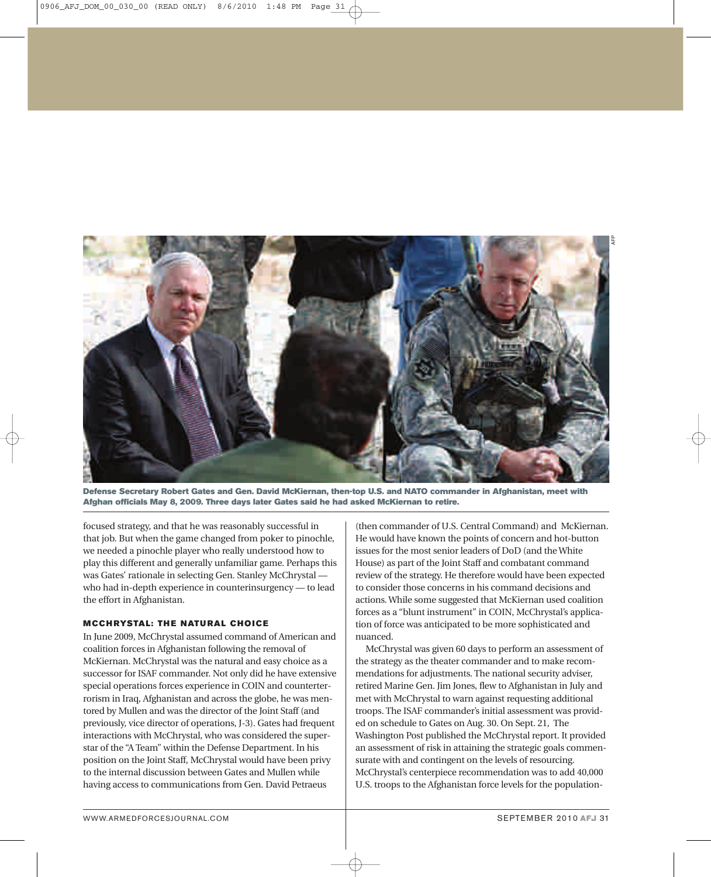

Defense Secretary Robert Gates and Gen. David McKiernan, then-top U.S. and NATO commander in Afghanistan, meet with Afghan officials May 8, 2009. Three days later Gates said he had asked McKiernan to retire.

focused strategy, and that he was reasonably successful in that job. But when the game changed from poker to pinochle, we needed a pinochle player who really understood how to play this different and generally unfamiliar game. Perhaps this was Gates' rationale in selecting Gen. Stanley McChrystal who had in-depth experience in counterinsurgency — to lead the effort in Afghanistan.

### **MCCHRYSTAL: THE NATURAL CHOICE**

In June 2009, McChrystal assumed command of American and coalition forces in Afghanistan following the removal of McKiernan. McChrystal was the natural and easy choice as a successor for ISAF commander. Not only did he have extensive special operations forces experience in COIN and counterterrorism in Iraq, Afghanistan and across the globe, he was mentored by Mullen and was the director of the Joint Staff (and previously, vice director of operations, J-3). Gates had frequent interactions with McChrystal, who was considered the superstar of the "A Team" within the Defense Department. In his position on the Joint Staff, McChrystal would have been privy to the internal discussion between Gates and Mullen while having access to communications from Gen. David Petraeus

(then commander of U.S. Central Command) and McKiernan. He would have known the points of concern and hot-button issues for the most senior leaders of DoD (and theWhite House) as part of the Joint Staff and combatant command review of the strategy. He therefore would have been expected to consider those concerns in his command decisions and actions.While some suggested that McKiernan used coalition forces as a "blunt instrument" in COIN, McChrystal's application of force was anticipated to be more sophisticated and nuanced.

McChrystal was given 60 days to perform an assessment of the strategy as the theater commander and to make recommendations for adjustments. The national security adviser, retired Marine Gen. Jim Jones, flew to Afghanistan in July and met with McChrystal to warn against requesting additional troops. The ISAF commander's initial assessment was provided on schedule to Gates on Aug. 30. On Sept. 21, The Washington Post published the McChrystal report. It provided an assessment of risk in attaining the strategic goals commensurate with and contingent on the levels of resourcing. McChrystal's centerpiece recommendation was to add 40,000 U.S. troops to the Afghanistan force levels for the population-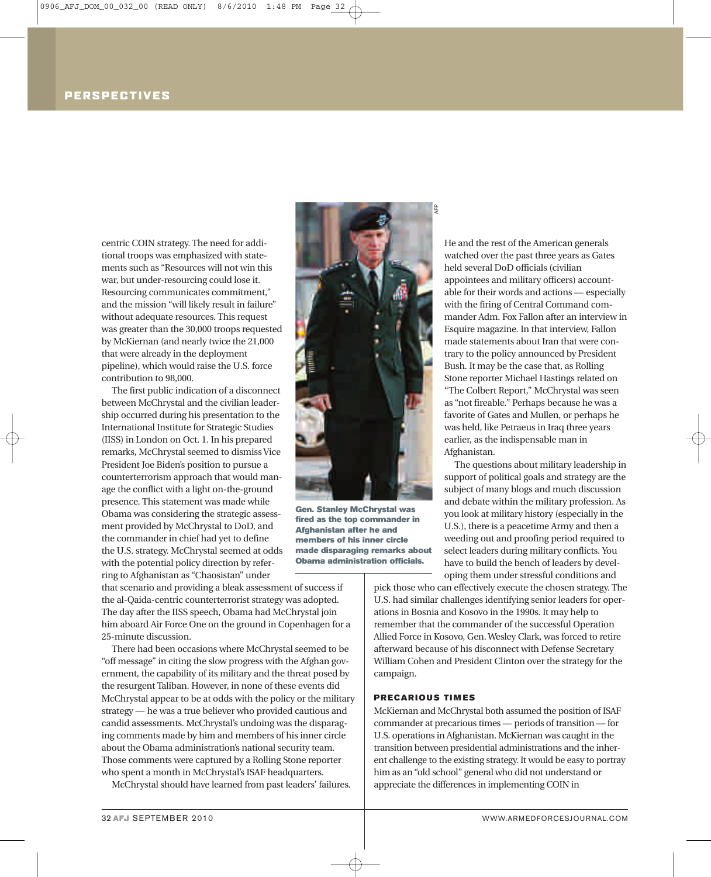## PERSPECTIVES

centric COIN strategy. The need for additional troops was emphasized with statements such as "Resources will not win this war, but under-resourcing could lose it. Resourcing communicates commitment," and the mission "will likely result in failure" without adequate resources. This request was greater than the 30,000 troops requested by McKiernan (and nearly twice the 21,000 that were already in the deployment pipeline), which would raise the U.S. force contribution to 98,000.

The first public indication of a disconnect between McChrystal and the civilian leadership occurred during his presentation to the International Institute for Strategic Studies (IISS) in London on Oct. 1. In his prepared remarks, McChrystal seemed to dismiss Vice President Joe Biden's position to pursue a counterterrorism approach that would manage the conflict with a light on-the-ground presence. This statement was made while Obama was considering the strategic assessment provided by McChrystal to DoD, and the commander in chief had yet to define the U.S. strategy. McChrystal seemed at odds with the potential policy direction by referring to Afghanistan as "Chaosistan" under

that scenario and providing a bleak assessment of success if the al-Qaida-centric counterterrorist strategy was adopted. The day after the IISS speech, Obama had McChrystal join him aboard Air Force One on the ground in Copenhagen for a 25-minute discussion.

There had been occasions where McChrystal seemed to be "off message" in citing the slow progress with the Afghan government, the capability of its military and the threat posed by the resurgent Taliban. However, in none of these events did McChrystal appear to be at odds with the policy or the military strategy — he was a true believer who provided cautious and candid assessments. McChrystal's undoing was the disparaging comments made by him and members of his inner circle about the Obama administration's national security team. Those comments were captured by a Rolling Stone reporter who spent a month in McChrystal's ISAF headquarters.

McChrystal should have learned from past leaders' failures.



Gen. Stanley McChrystal was fired as the top commander in Afghanistan after he and members of his inner circle made disparaging remarks about Obama administration officials.

He and the rest of the American generals watched over the past three years as Gates held several DoD officials (civilian appointees and military officers) accountable for their words and actions — especially with the firing of Central Command commander Adm. Fox Fallon after an interview in Esquire magazine. In that interview, Fallon made statements about Iran that were contrary to the policy announced by President Bush. It may be the case that, as Rolling Stone reporter Michael Hastings related on "The Colbert Report," McChrystal was seen as "not fireable." Perhaps because he was a favorite of Gates and Mullen, or perhaps he was held, like Petraeus in Iraq three years earlier, as the indispensable man in Afghanistan.

The questions about military leadership in support of political goals and strategy are the subject of many blogs and much discussion and debate within the military profession. As you look at military history (especially in the U.S.), there is a peacetime Army and then a weeding out and proofing period required to select leaders during military conflicts. You have to build the bench of leaders by developing them under stressful conditions and

pick those who can effectively execute the chosen strategy. The U.S. had similar challenges identifying senior leaders for operations in Bosnia and Kosovo in the 1990s. It may help to remember that the commander of the successful Operation Allied Force in Kosovo, Gen.Wesley Clark, was forced to retire afterward because of his disconnect with Defense Secretary William Cohen and President Clinton over the strategy for the campaign.

#### PRECARIOUS TIMES

McKiernan and McChrystal both assumed the position of ISAF commander at precarious times — periods of transition — for U.S. operations in Afghanistan. McKiernan was caught in the transition between presidential administrations and the inherent challenge to the existing strategy. It would be easy to portray him as an"old school" general who did not understand or appreciate the differences in implementing COIN in